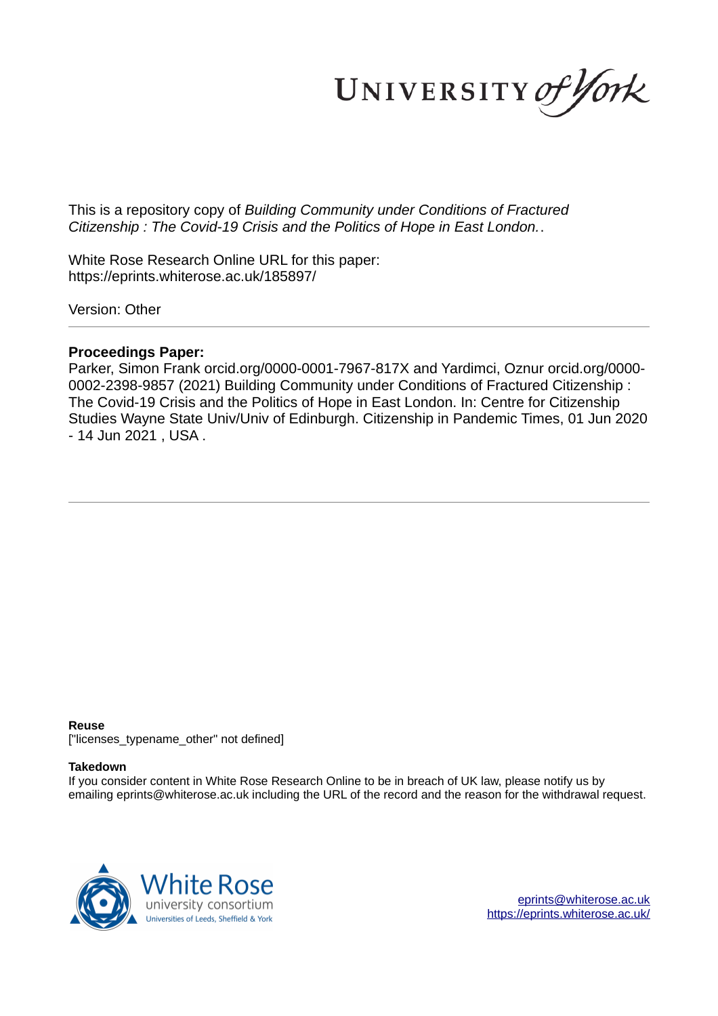UNIVERSITY of York

This is a repository copy of *Building Community under Conditions of Fractured Citizenship : The Covid-19 Crisis and the Politics of Hope in East London.*.

White Rose Research Online URL for this paper: https://eprints.whiterose.ac.uk/185897/

Version: Other

# **Proceedings Paper:**

Parker, Simon Frank orcid.org/0000-0001-7967-817X and Yardimci, Oznur orcid.org/0000- 0002-2398-9857 (2021) Building Community under Conditions of Fractured Citizenship : The Covid-19 Crisis and the Politics of Hope in East London. In: Centre for Citizenship Studies Wayne State Univ/Univ of Edinburgh. Citizenship in Pandemic Times, 01 Jun 2020 - 14 Jun 2021 , USA .

#### **Reuse**

["licenses\_typename\_other" not defined]

#### **Takedown**

If you consider content in White Rose Research Online to be in breach of UK law, please notify us by emailing eprints@whiterose.ac.uk including the URL of the record and the reason for the withdrawal request.



eprints@whiterose.ac.uk https://eprints.whiterose.ac.uk/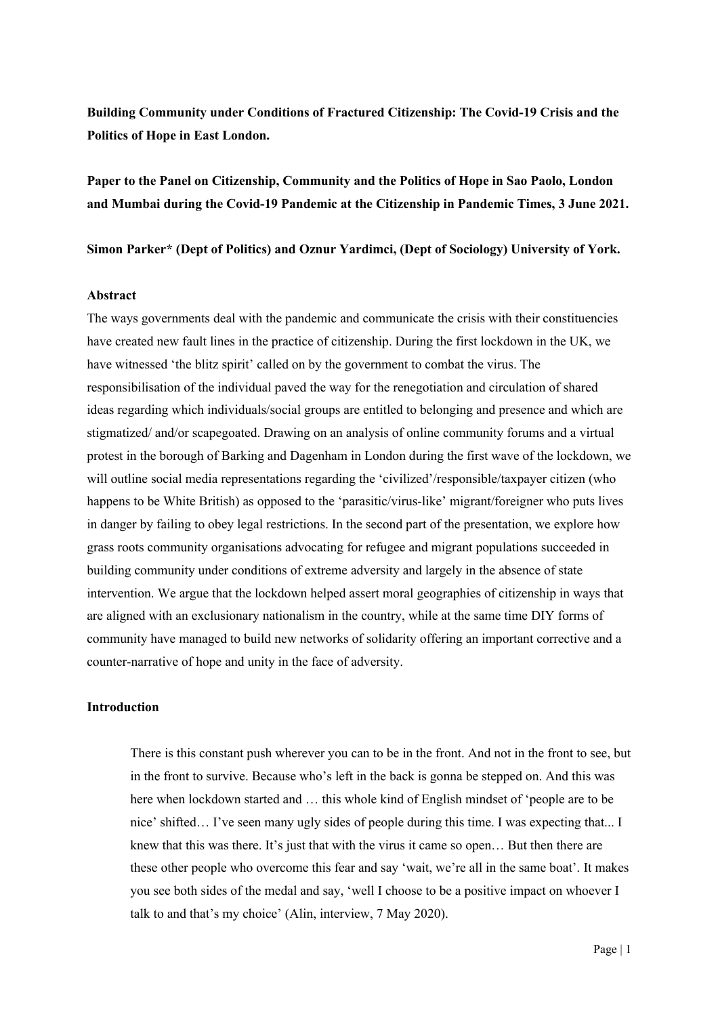**Building Community under Conditions of Fractured Citizenship: The Covid-19 Crisis and the Politics of Hope in East London.** 

**Paper to the Panel on Citizenship, Community and the Politics of Hope in Sao Paolo, London and Mumbai during the Covid-19 Pandemic at the Citizenship in Pandemic Times, 3 June 2021.**

**Simon Parker\* (Dept of Politics) and Oznur Yardimci, (Dept of Sociology) University of York.**

#### **Abstract**

The ways governments deal with the pandemic and communicate the crisis with their constituencies have created new fault lines in the practice of citizenship. During the first lockdown in the UK, we have witnessed 'the blitz spirit' called on by the government to combat the virus. The responsibilisation of the individual paved the way for the renegotiation and circulation of shared ideas regarding which individuals/social groups are entitled to belonging and presence and which are stigmatized/ and/or scapegoated. Drawing on an analysis of online community forums and a virtual protest in the borough of Barking and Dagenham in London during the first wave of the lockdown, we will outline social media representations regarding the 'civilized'/responsible/taxpayer citizen (who happens to be White British) as opposed to the 'parasitic/virus-like' migrant/foreigner who puts lives in danger by failing to obey legal restrictions. In the second part of the presentation, we explore how grass roots community organisations advocating for refugee and migrant populations succeeded in building community under conditions of extreme adversity and largely in the absence of state intervention. We argue that the lockdown helped assert moral geographies of citizenship in ways that are aligned with an exclusionary nationalism in the country, while at the same time DIY forms of community have managed to build new networks of solidarity offering an important corrective and a counter-narrative of hope and unity in the face of adversity.

#### **Introduction**

There is this constant push wherever you can to be in the front. And not in the front to see, but in the front to survive. Because who's left in the back is gonna be stepped on. And this was here when lockdown started and … this whole kind of English mindset of 'people are to be nice' shifted… I've seen many ugly sides of people during this time. I was expecting that... I knew that this was there. It's just that with the virus it came so open… But then there are these other people who overcome this fear and say 'wait, we're all in the same boat'. It makes you see both sides of the medal and say, 'well I choose to be a positive impact on whoever I talk to and that's my choice' (Alin, interview, 7 May 2020).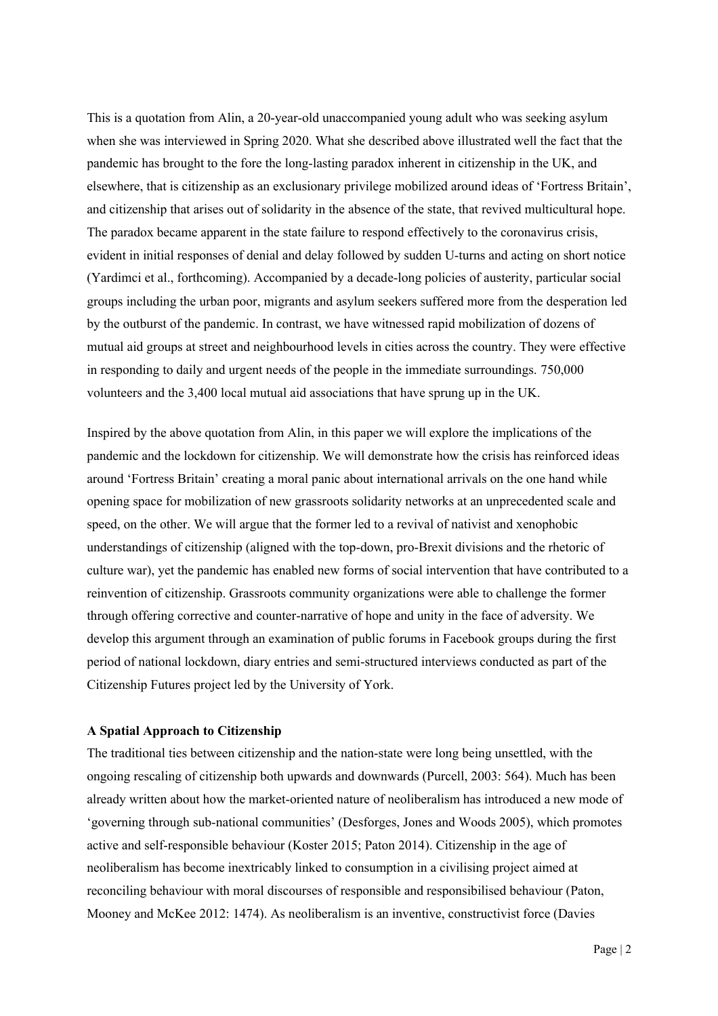This is a quotation from Alin, a 20-year-old unaccompanied young adult who was seeking asylum when she was interviewed in Spring 2020. What she described above illustrated well the fact that the pandemic has brought to the fore the long-lasting paradox inherent in citizenship in the UK, and elsewhere, that is citizenship as an exclusionary privilege mobilized around ideas of 'Fortress Britain', and citizenship that arises out of solidarity in the absence of the state, that revived multicultural hope. The paradox became apparent in the state failure to respond effectively to the coronavirus crisis, evident in initial responses of denial and delay followed by sudden U-turns and acting on short notice (Yardimci et al., forthcoming). Accompanied by a decade-long policies of austerity, particular social groups including the urban poor, migrants and asylum seekers suffered more from the desperation led by the outburst of the pandemic. In contrast, we have witnessed rapid mobilization of dozens of mutual aid groups at street and neighbourhood levels in cities across the country. They were effective in responding to daily and urgent needs of the people in the immediate surroundings. 750,000 volunteers and the 3,400 local mutual aid associations that have sprung up in the UK.

Inspired by the above quotation from Alin, in this paper we will explore the implications of the pandemic and the lockdown for citizenship. We will demonstrate how the crisis has reinforced ideas around 'Fortress Britain' creating a moral panic about international arrivals on the one hand while opening space for mobilization of new grassroots solidarity networks at an unprecedented scale and speed, on the other. We will argue that the former led to a revival of nativist and xenophobic understandings of citizenship (aligned with the top-down, pro-Brexit divisions and the rhetoric of culture war), yet the pandemic has enabled new forms of social intervention that have contributed to a reinvention of citizenship. Grassroots community organizations were able to challenge the former through offering corrective and counter-narrative of hope and unity in the face of adversity. We develop this argument through an examination of public forums in Facebook groups during the first period of national lockdown, diary entries and semi-structured interviews conducted as part of the Citizenship Futures project led by the University of York.

#### **A Spatial Approach to Citizenship**

The traditional ties between citizenship and the nation-state were long being unsettled, with the ongoing rescaling of citizenship both upwards and downwards (Purcell, 2003: 564). Much has been already written about how the market-oriented nature of neoliberalism has introduced a new mode of 'governing through sub-national communities' (Desforges, Jones and Woods 2005), which promotes active and self-responsible behaviour (Koster 2015; Paton 2014). Citizenship in the age of neoliberalism has become inextricably linked to consumption in a civilising project aimed at reconciling behaviour with moral discourses of responsible and responsibilised behaviour (Paton, Mooney and McKee 2012: 1474). As neoliberalism is an inventive, constructivist force (Davies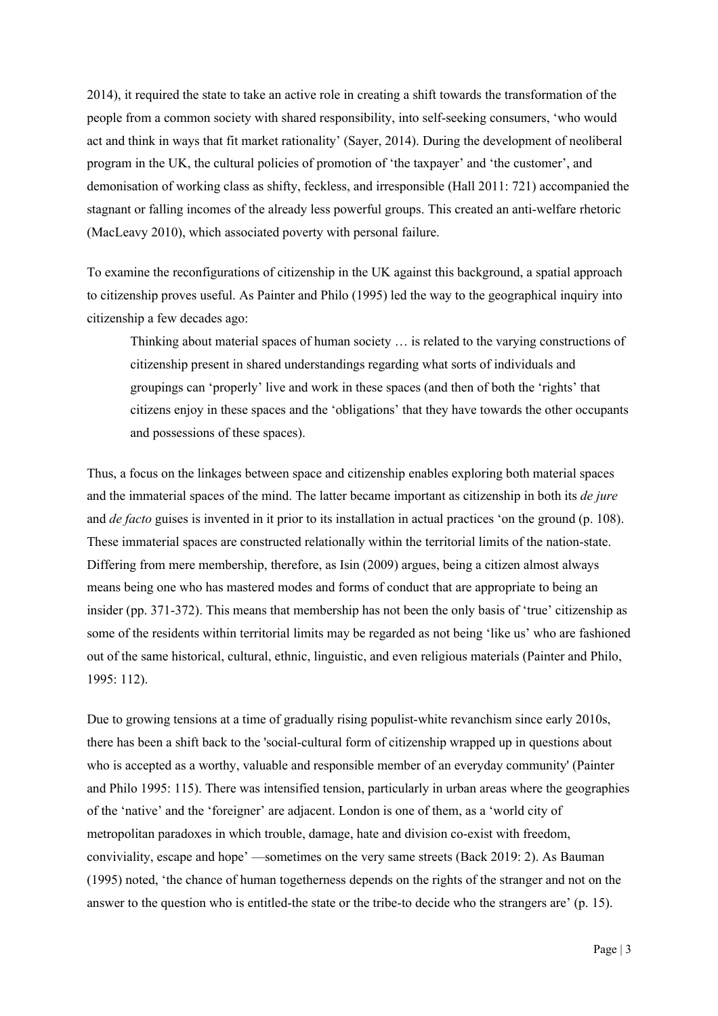2014), it required the state to take an active role in creating a shift towards the transformation of the people from a common society with shared responsibility, into self-seeking consumers, 'who would act and think in ways that fit market rationality' (Sayer, 2014). During the development of neoliberal program in the UK, the cultural policies of promotion of 'the taxpayer' and 'the customer', and demonisation of working class as shifty, feckless, and irresponsible (Hall 2011: 721) accompanied the stagnant or falling incomes of the already less powerful groups. This created an anti-welfare rhetoric (MacLeavy 2010), which associated poverty with personal failure.

To examine the reconfigurations of citizenship in the UK against this background, a spatial approach to citizenship proves useful. As Painter and Philo (1995) led the way to the geographical inquiry into citizenship a few decades ago:

Thinking about material spaces of human society … is related to the varying constructions of citizenship present in shared understandings regarding what sorts of individuals and groupings can 'properly' live and work in these spaces (and then of both the 'rights' that citizens enjoy in these spaces and the 'obligations' that they have towards the other occupants and possessions of these spaces).

Thus, a focus on the linkages between space and citizenship enables exploring both material spaces and the immaterial spaces of the mind. The latter became important as citizenship in both its *de jure* and *de facto* guises is invented in it prior to its installation in actual practices 'on the ground (p. 108). These immaterial spaces are constructed relationally within the territorial limits of the nation-state. Differing from mere membership, therefore, as Isin (2009) argues, being a citizen almost always means being one who has mastered modes and forms of conduct that are appropriate to being an insider (pp. 371-372). This means that membership has not been the only basis of 'true' citizenship as some of the residents within territorial limits may be regarded as not being 'like us' who are fashioned out of the same historical, cultural, ethnic, linguistic, and even religious materials (Painter and Philo, 1995: 112).

Due to growing tensions at a time of gradually rising populist-white revanchism since early 2010s, there has been a shift back to the 'social-cultural form of citizenship wrapped up in questions about who is accepted as a worthy, valuable and responsible member of an everyday community' (Painter and Philo 1995: 115). There was intensified tension, particularly in urban areas where the geographies of the 'native' and the 'foreigner' are adjacent. London is one of them, as a 'world city of metropolitan paradoxes in which trouble, damage, hate and division co-exist with freedom, conviviality, escape and hope' —sometimes on the very same streets (Back 2019: 2). As Bauman (1995) noted, 'the chance of human togetherness depends on the rights of the stranger and not on the answer to the question who is entitled-the state or the tribe-to decide who the strangers are' (p. 15).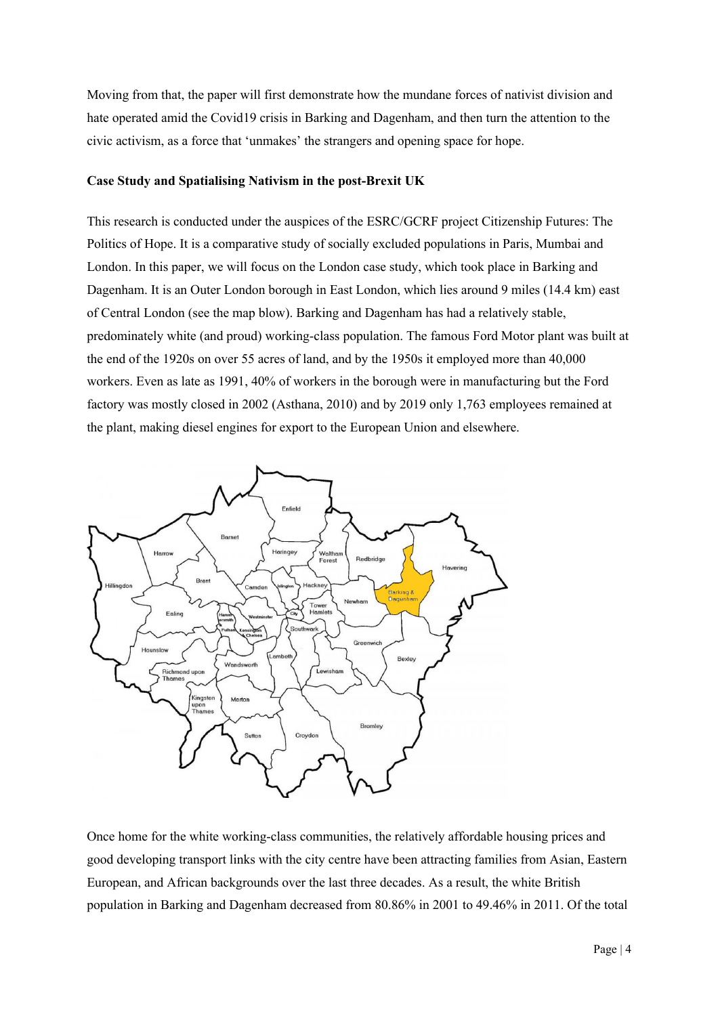Moving from that, the paper will first demonstrate how the mundane forces of nativist division and hate operated amid the Covid19 crisis in Barking and Dagenham, and then turn the attention to the civic activism, as a force that 'unmakes' the strangers and opening space for hope.

### **Case Study and Spatialising Nativism in the post-Brexit UK**

This research is conducted under the auspices of the ESRC/GCRF project Citizenship Futures: The Politics of Hope. It is a comparative study of socially excluded populations in Paris, Mumbai and London. In this paper, we will focus on the London case study, which took place in Barking and Dagenham. It is an Outer London borough in East London, which lies around 9 miles (14.4 km) east of Central London (see the map blow). Barking and Dagenham has had a relatively stable, predominately white (and proud) working-class population. The famous Ford Motor plant was built at the end of the 1920s on over 55 acres of land, and by the 1950s it employed more than 40,000 workers. Even as late as 1991, 40% of workers in the borough were in manufacturing but the Ford factory was mostly closed in 2002 (Asthana, 2010) and by 2019 only 1,763 employees remained at the plant, making diesel engines for export to the European Union and elsewhere.



Once home for the white working-class communities, the relatively affordable housing prices and good developing transport links with the city centre have been attracting families from Asian, Eastern European, and African backgrounds over the last three decades. As a result, the white British population in Barking and Dagenham decreased from 80.86% in 2001 to 49.46% in 2011. Of the total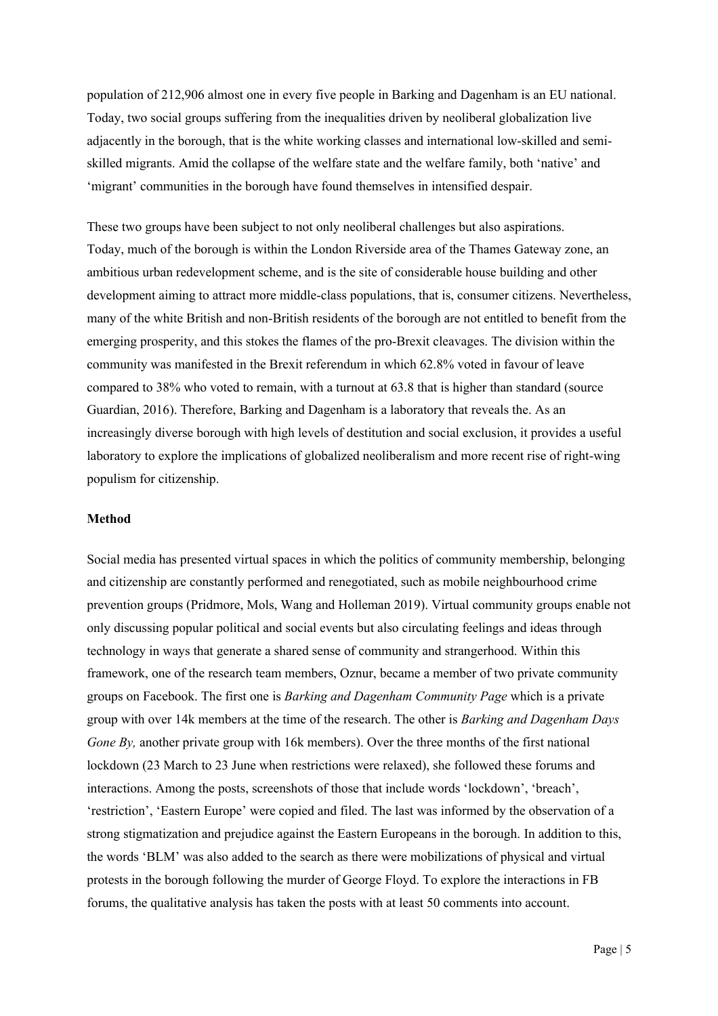population of 212,906 almost one in every five people in Barking and Dagenham is an EU national. Today, two social groups suffering from the inequalities driven by neoliberal globalization live adjacently in the borough, that is the white working classes and international low-skilled and semiskilled migrants. Amid the collapse of the welfare state and the welfare family, both 'native' and 'migrant' communities in the borough have found themselves in intensified despair.

These two groups have been subject to not only neoliberal challenges but also aspirations. Today, much of the borough is within the London Riverside area of the Thames Gateway zone, an ambitious urban redevelopment scheme, and is the site of considerable house building and other development aiming to attract more middle-class populations, that is, consumer citizens. Nevertheless, many of the white British and non-British residents of the borough are not entitled to benefit from the emerging prosperity, and this stokes the flames of the pro-Brexit cleavages. The division within the community was manifested in the Brexit referendum in which 62.8% voted in favour of leave compared to 38% who voted to remain, with a turnout at 63.8 that is higher than standard (source Guardian, 2016). Therefore, Barking and Dagenham is a laboratory that reveals the. As an increasingly diverse borough with high levels of destitution and social exclusion, it provides a useful laboratory to explore the implications of globalized neoliberalism and more recent rise of right-wing populism for citizenship.

#### **Method**

Social media has presented virtual spaces in which the politics of community membership, belonging and citizenship are constantly performed and renegotiated, such as mobile neighbourhood crime prevention groups (Pridmore, Mols, Wang and Holleman 2019). Virtual community groups enable not only discussing popular political and social events but also circulating feelings and ideas through technology in ways that generate a shared sense of community and strangerhood. Within this framework, one of the research team members, Oznur, became a member of two private community groups on Facebook. The first one is *Barking and Dagenham Community Page* which is a private group with over 14k members at the time of the research. The other is *Barking and Dagenham Days Gone By,* another private group with 16k members). Over the three months of the first national lockdown (23 March to 23 June when restrictions were relaxed), she followed these forums and interactions. Among the posts, screenshots of those that include words 'lockdown', 'breach', 'restriction', 'Eastern Europe' were copied and filed. The last was informed by the observation of a strong stigmatization and prejudice against the Eastern Europeans in the borough. In addition to this, the words 'BLM' was also added to the search as there were mobilizations of physical and virtual protests in the borough following the murder of George Floyd. To explore the interactions in FB forums, the qualitative analysis has taken the posts with at least 50 comments into account.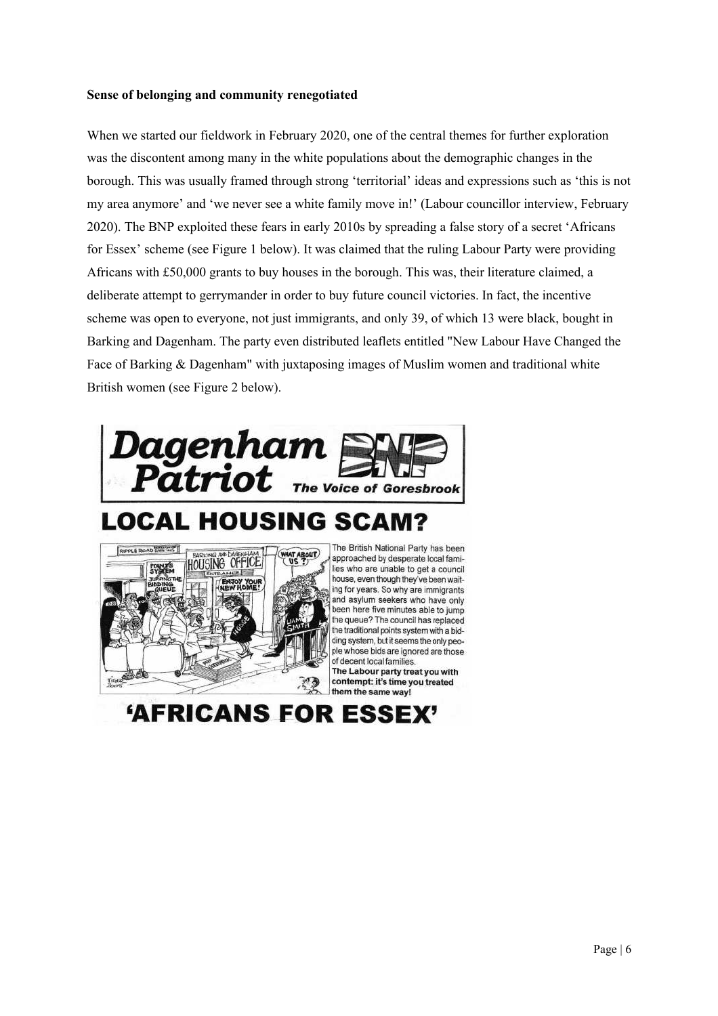## **Sense of belonging and community renegotiated**

When we started our fieldwork in February 2020, one of the central themes for further exploration was the discontent among many in the white populations about the demographic changes in the borough. This was usually framed through strong 'territorial' ideas and expressions such as 'this is not my area anymore' and 'we never see a white family move in!' (Labour councillor interview, February 2020). The BNP exploited these fears in early 2010s by spreading a false story of a secret 'Africans for Essex' scheme (see Figure 1 below). It was claimed that the ruling Labour Party were providing Africans with £50,000 grants to buy houses in the borough. This was, their literature claimed, a deliberate attempt to gerrymander in order to buy future council victories. In fact, the incentive scheme was open to everyone, not just immigrants, and only 39, of which 13 were black, bought in Barking and Dagenham. The party even distributed leaflets entitled "New Labour Have Changed the Face of Barking & Dagenham" with juxtaposing images of Muslim women and traditional white British women (see Figure 2 below).



# **LOCAL HOUSING SCAM?**



The British National Party has been approached by desperate local families who are unable to get a council house, even though they've been waiting for years. So why are immigrants and asylum seekers who have only been here five minutes able to jump the queue? The council has replaced the traditional points system with a bidding system, but it seems the only people whose bids are ignored are those of decent local families.

The Labour party treat you with contempt: it's time you treated them the same way!

**'AFRICANS FOR ESSEX'**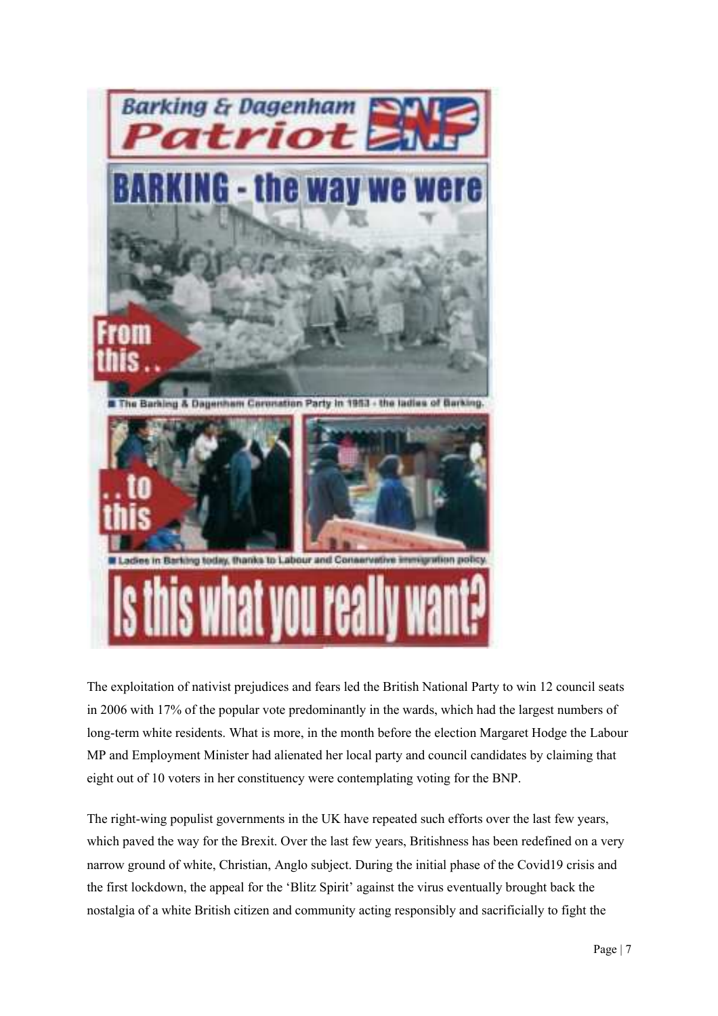

The exploitation of nativist prejudices and fears led the British National Party to win 12 council seats in 2006 with 17% of the popular vote predominantly in the wards, which had the largest numbers of long-term white residents. What is more, in the month before the election Margaret Hodge the Labour MP and Employment Minister had alienated her local party and council candidates by claiming that eight out of 10 voters in her constituency were contemplating voting for the BNP.

The right-wing populist governments in the UK have repeated such efforts over the last few years, which paved the way for the Brexit. Over the last few years, Britishness has been redefined on a very narrow ground of white, Christian, Anglo subject. During the initial phase of the Covid19 crisis and the first lockdown, the appeal for the 'Blitz Spirit' against the virus eventually brought back the nostalgia of a white British citizen and community acting responsibly and sacrificially to fight the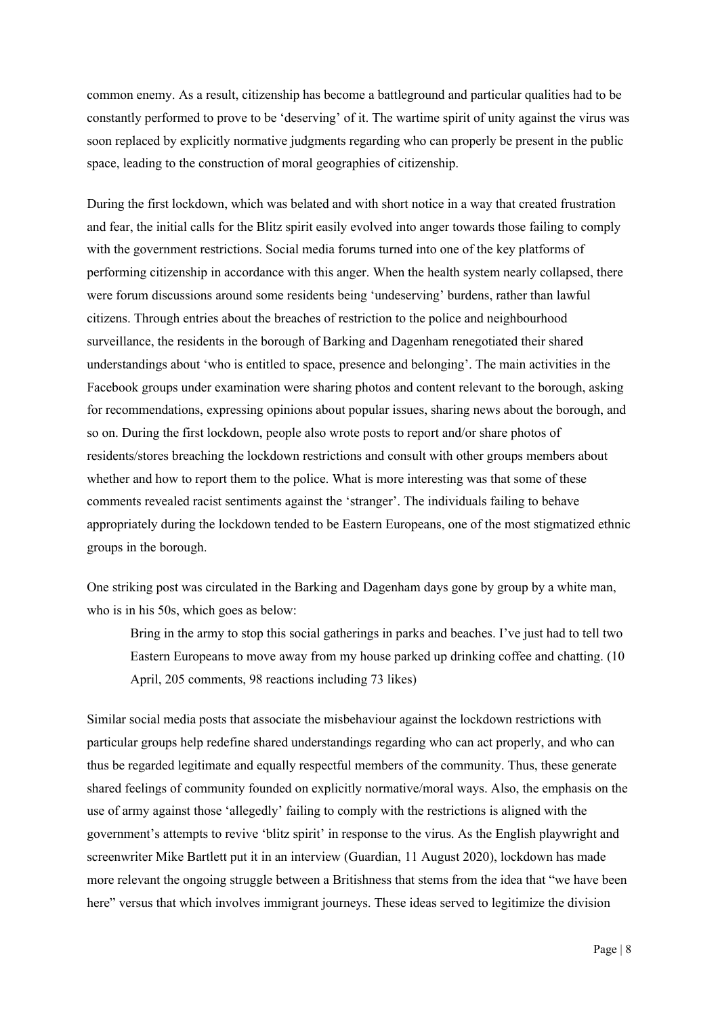common enemy. As a result, citizenship has become a battleground and particular qualities had to be constantly performed to prove to be 'deserving' of it. The wartime spirit of unity against the virus was soon replaced by explicitly normative judgments regarding who can properly be present in the public space, leading to the construction of moral geographies of citizenship.

During the first lockdown, which was belated and with short notice in a way that created frustration and fear, the initial calls for the Blitz spirit easily evolved into anger towards those failing to comply with the government restrictions. Social media forums turned into one of the key platforms of performing citizenship in accordance with this anger. When the health system nearly collapsed, there were forum discussions around some residents being 'undeserving' burdens, rather than lawful citizens. Through entries about the breaches of restriction to the police and neighbourhood surveillance, the residents in the borough of Barking and Dagenham renegotiated their shared understandings about 'who is entitled to space, presence and belonging'. The main activities in the Facebook groups under examination were sharing photos and content relevant to the borough, asking for recommendations, expressing opinions about popular issues, sharing news about the borough, and so on. During the first lockdown, people also wrote posts to report and/or share photos of residents/stores breaching the lockdown restrictions and consult with other groups members about whether and how to report them to the police. What is more interesting was that some of these comments revealed racist sentiments against the 'stranger'. The individuals failing to behave appropriately during the lockdown tended to be Eastern Europeans, one of the most stigmatized ethnic groups in the borough.

One striking post was circulated in the Barking and Dagenham days gone by group by a white man, who is in his 50s, which goes as below:

Bring in the army to stop this social gatherings in parks and beaches. I've just had to tell two Eastern Europeans to move away from my house parked up drinking coffee and chatting. (10 April, 205 comments, 98 reactions including 73 likes)

Similar social media posts that associate the misbehaviour against the lockdown restrictions with particular groups help redefine shared understandings regarding who can act properly, and who can thus be regarded legitimate and equally respectful members of the community. Thus, these generate shared feelings of community founded on explicitly normative/moral ways. Also, the emphasis on the use of army against those 'allegedly' failing to comply with the restrictions is aligned with the government's attempts to revive 'blitz spirit' in response to the virus. As the English playwright and screenwriter Mike Bartlett put it in an interview (Guardian, 11 August 2020), lockdown has made more relevant the ongoing struggle between a Britishness that stems from the idea that "we have been here" versus that which involves immigrant journeys. These ideas served to legitimize the division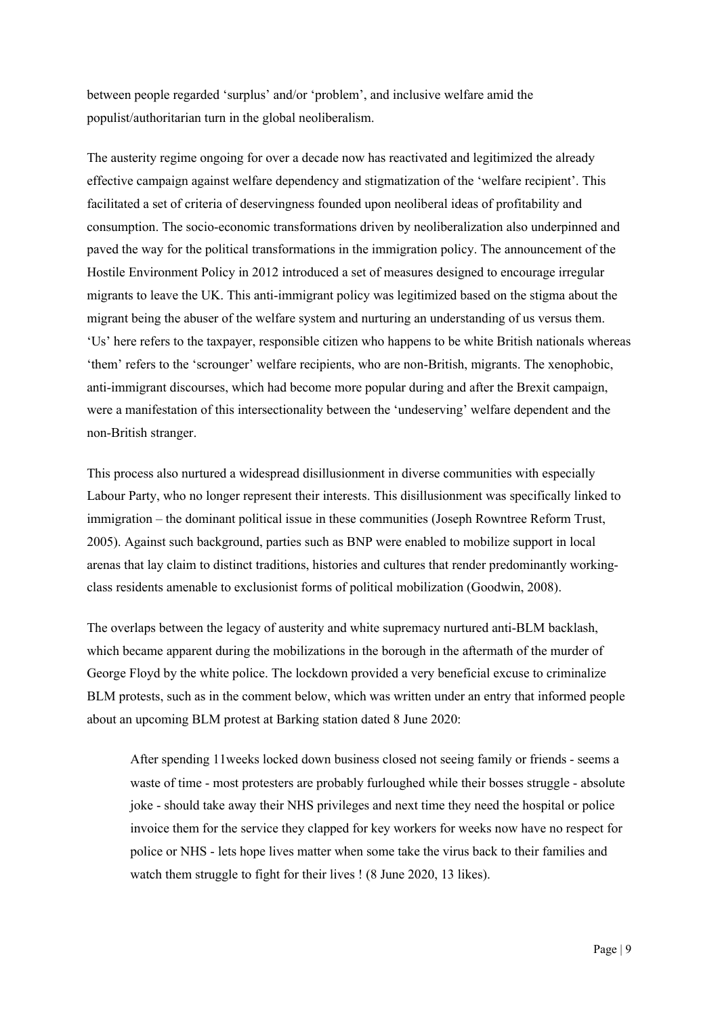between people regarded 'surplus' and/or 'problem', and inclusive welfare amid the populist/authoritarian turn in the global neoliberalism.

The austerity regime ongoing for over a decade now has reactivated and legitimized the already effective campaign against welfare dependency and stigmatization of the 'welfare recipient'. This facilitated a set of criteria of deservingness founded upon neoliberal ideas of profitability and consumption. The socio-economic transformations driven by neoliberalization also underpinned and paved the way for the political transformations in the immigration policy. The announcement of the Hostile Environment Policy in 2012 introduced a set of measures designed to encourage irregular migrants to leave the UK. This anti-immigrant policy was legitimized based on the stigma about the migrant being the abuser of the welfare system and nurturing an understanding of us versus them. 'Us' here refers to the taxpayer, responsible citizen who happens to be white British nationals whereas 'them' refers to the 'scrounger' welfare recipients, who are non-British, migrants. The xenophobic, anti-immigrant discourses, which had become more popular during and after the Brexit campaign, were a manifestation of this intersectionality between the 'undeserving' welfare dependent and the non-British stranger.

This process also nurtured a widespread disillusionment in diverse communities with especially Labour Party, who no longer represent their interests. This disillusionment was specifically linked to immigration – the dominant political issue in these communities (Joseph Rowntree Reform Trust, 2005). Against such background, parties such as BNP were enabled to mobilize support in local arenas that lay claim to distinct traditions, histories and cultures that render predominantly workingclass residents amenable to exclusionist forms of political mobilization (Goodwin, 2008).

The overlaps between the legacy of austerity and white supremacy nurtured anti-BLM backlash, which became apparent during the mobilizations in the borough in the aftermath of the murder of George Floyd by the white police. The lockdown provided a very beneficial excuse to criminalize BLM protests, such as in the comment below, which was written under an entry that informed people about an upcoming BLM protest at Barking station dated 8 June 2020:

After spending 11weeks locked down business closed not seeing family or friends - seems a waste of time - most protesters are probably furloughed while their bosses struggle - absolute joke - should take away their NHS privileges and next time they need the hospital or police invoice them for the service they clapped for key workers for weeks now have no respect for police or NHS - lets hope lives matter when some take the virus back to their families and watch them struggle to fight for their lives ! (8 June 2020, 13 likes).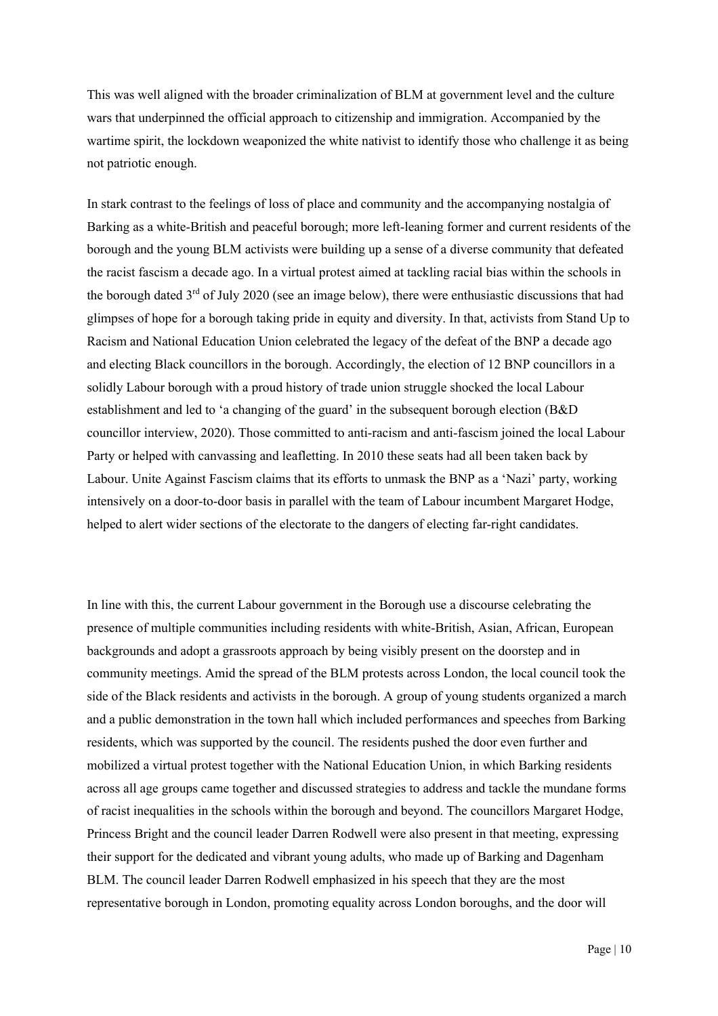This was well aligned with the broader criminalization of BLM at government level and the culture wars that underpinned the official approach to citizenship and immigration. Accompanied by the wartime spirit, the lockdown weaponized the white nativist to identify those who challenge it as being not patriotic enough.

In stark contrast to the feelings of loss of place and community and the accompanying nostalgia of Barking as a white-British and peaceful borough; more left-leaning former and current residents of the borough and the young BLM activists were building up a sense of a diverse community that defeated the racist fascism a decade ago. In a virtual protest aimed at tackling racial bias within the schools in the borough dated  $3<sup>rd</sup>$  of July 2020 (see an image below), there were enthusiastic discussions that had glimpses of hope for a borough taking pride in equity and diversity. In that, activists from Stand Up to Racism and National Education Union celebrated the legacy of the defeat of the BNP a decade ago and electing Black councillors in the borough. Accordingly, the election of 12 BNP councillors in a solidly Labour borough with a proud history of trade union struggle shocked the local Labour establishment and led to 'a changing of the guard' in the subsequent borough election (B&D councillor interview, 2020). Those committed to anti-racism and anti-fascism joined the local Labour Party or helped with canvassing and leafletting. In 2010 these seats had all been taken back by Labour. Unite Against Fascism claims that its efforts to unmask the BNP as a 'Nazi' party, working intensively on a door-to-door basis in parallel with the team of Labour incumbent Margaret Hodge, helped to alert wider sections of the electorate to the dangers of electing far-right candidates.

In line with this, the current Labour government in the Borough use a discourse celebrating the presence of multiple communities including residents with white-British, Asian, African, European backgrounds and adopt a grassroots approach by being visibly present on the doorstep and in community meetings. Amid the spread of the BLM protests across London, the local council took the side of the Black residents and activists in the borough. A group of young students organized a march and a public demonstration in the town hall which included performances and speeches from Barking residents, which was supported by the council. The residents pushed the door even further and mobilized a virtual protest together with the National Education Union, in which Barking residents across all age groups came together and discussed strategies to address and tackle the mundane forms of racist inequalities in the schools within the borough and beyond. The councillors Margaret Hodge, Princess Bright and the council leader Darren Rodwell were also present in that meeting, expressing their support for the dedicated and vibrant young adults, who made up of Barking and Dagenham BLM. The council leader Darren Rodwell emphasized in his speech that they are the most representative borough in London, promoting equality across London boroughs, and the door will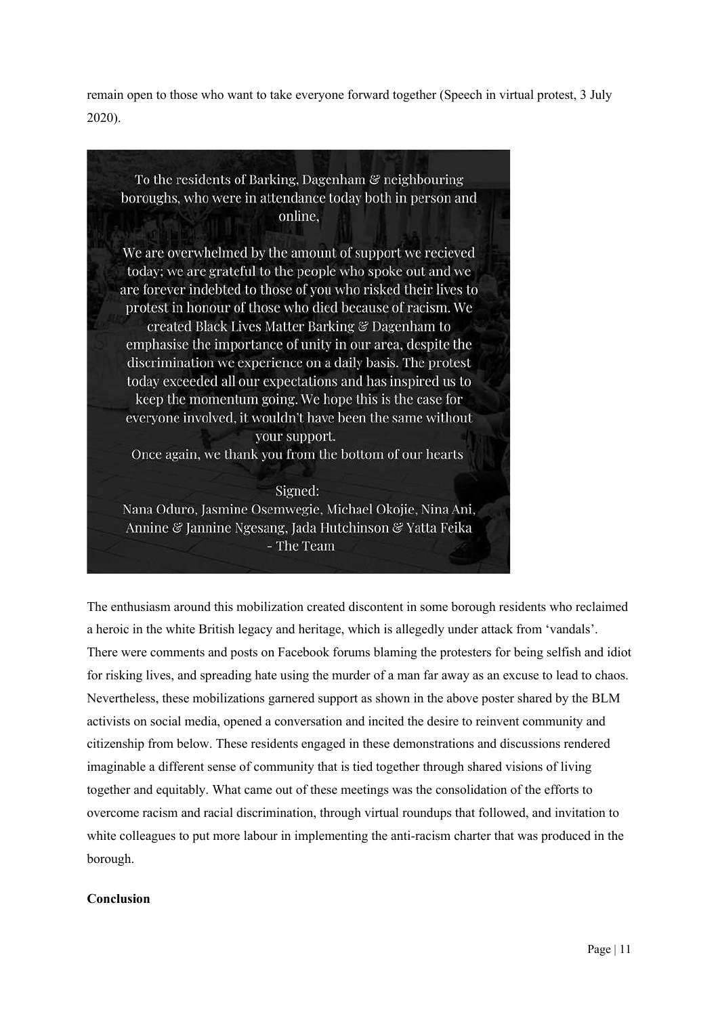remain open to those who want to take everyone forward together (Speech in virtual protest, 3 July 2020).

To the residents of Barking, Dagenham & neighbouring boroughs, who were in attendance today both in person and online. We are overwhelmed by the amount of support we recieved today; we are grateful to the people who spoke out and we are forever indebted to those of you who risked their lives to protest in honour of those who died because of racism. We created Black Lives Matter Barking & Dagenham to emphasise the importance of unity in our area, despite the discrimination we experience on a daily basis. The protest today exceeded all our expectations and has inspired us to keep the momentum going. We hope this is the case for everyone involved, it wouldn't have been the same without your support. Once again, we thank you from the bottom of our hearts Signed:

Nana Oduro, Jasmine Osemwegie, Michael Okojie, Nina Ani, Annine & Jannine Ngesang, Jada Hutchinson & Yatta Feika - The Team

The enthusiasm around this mobilization created discontent in some borough residents who reclaimed a heroic in the white British legacy and heritage, which is allegedly under attack from 'vandals'. There were comments and posts on Facebook forums blaming the protesters for being selfish and idiot for risking lives, and spreading hate using the murder of a man far away as an excuse to lead to chaos. Nevertheless, these mobilizations garnered support as shown in the above poster shared by the BLM activists on social media, opened a conversation and incited the desire to reinvent community and citizenship from below. These residents engaged in these demonstrations and discussions rendered imaginable a different sense of community that is tied together through shared visions of living together and equitably. What came out of these meetings was the consolidation of the efforts to overcome racism and racial discrimination, through virtual roundups that followed, and invitation to white colleagues to put more labour in implementing the anti-racism charter that was produced in the borough.

## **Conclusion**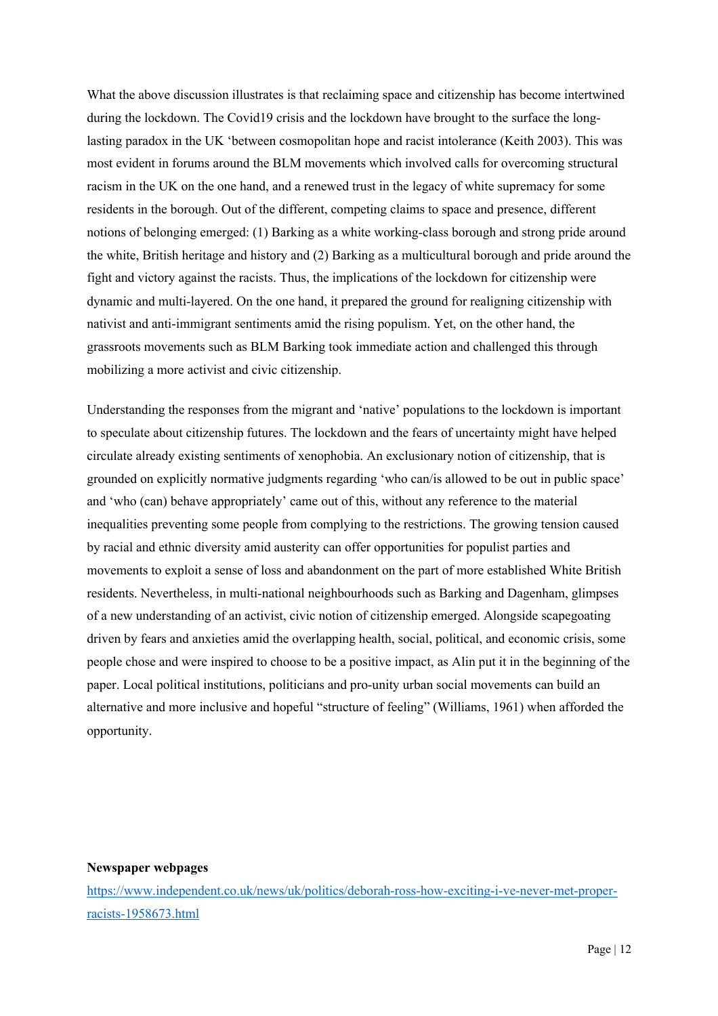What the above discussion illustrates is that reclaiming space and citizenship has become intertwined during the lockdown. The Covid19 crisis and the lockdown have brought to the surface the longlasting paradox in the UK 'between cosmopolitan hope and racist intolerance (Keith 2003). This was most evident in forums around the BLM movements which involved calls for overcoming structural racism in the UK on the one hand, and a renewed trust in the legacy of white supremacy for some residents in the borough. Out of the different, competing claims to space and presence, different notions of belonging emerged: (1) Barking as a white working-class borough and strong pride around the white, British heritage and history and (2) Barking as a multicultural borough and pride around the fight and victory against the racists. Thus, the implications of the lockdown for citizenship were dynamic and multi-layered. On the one hand, it prepared the ground for realigning citizenship with nativist and anti-immigrant sentiments amid the rising populism. Yet, on the other hand, the grassroots movements such as BLM Barking took immediate action and challenged this through mobilizing a more activist and civic citizenship.

Understanding the responses from the migrant and 'native' populations to the lockdown is important to speculate about citizenship futures. The lockdown and the fears of uncertainty might have helped circulate already existing sentiments of xenophobia. An exclusionary notion of citizenship, that is grounded on explicitly normative judgments regarding 'who can/is allowed to be out in public space' and 'who (can) behave appropriately' came out of this, without any reference to the material inequalities preventing some people from complying to the restrictions. The growing tension caused by racial and ethnic diversity amid austerity can offer opportunities for populist parties and movements to exploit a sense of loss and abandonment on the part of more established White British residents. Nevertheless, in multi-national neighbourhoods such as Barking and Dagenham, glimpses of a new understanding of an activist, civic notion of citizenship emerged. Alongside scapegoating driven by fears and anxieties amid the overlapping health, social, political, and economic crisis, some people chose and were inspired to choose to be a positive impact, as Alin put it in the beginning of the paper. Local political institutions, politicians and pro-unity urban social movements can build an alternative and more inclusive and hopeful "structure of feeling" (Williams, 1961) when afforded the opportunity.

#### **Newspaper webpages**

https://www.independent.co.uk/news/uk/politics/deborah-ross-how-exciting-i-ve-never-met-properracists-1958673.html